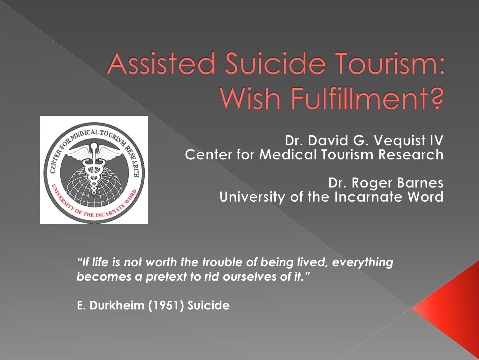## Assisted Suicide Tourism: Wish Fulfillment?



Dr. David G. Vequist IV **Center for Medical Tourism Research** 

> Dr. Roger Barnes University of the Incarnate Word

*"If life is not worth the trouble of being lived, everything becomes a pretext to rid ourselves of it."*

**E. Durkheim (1951) Suicide**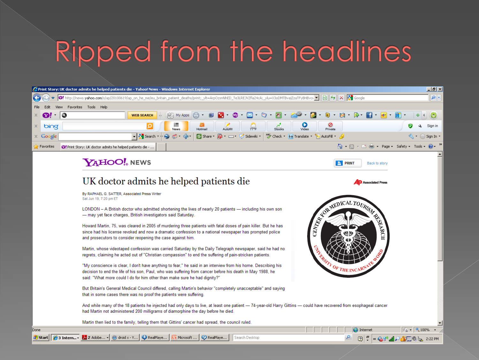## Ripped from the headlines

| 2 http://news.yahoo.com/s/ap/20100619/ap_on_he_me/eu_britain_patient_deaths/print;_ylt=ArpOzsnNhED_Te3LREJVZfla24cAj_ylu=X3oDMTBvajZzaTFyBHBvcv ▼   2   2   2   2   3   Google<br>$\leftarrow$<br>Favorites Tools Help<br>File<br>Edit<br><b>View</b><br>$-60^\circ$<br>26 內 日 6 日<br>10<br>₩<br>My Apps<br>$\mathbf{Q}$<br><b>WEB SEARCH</b><br>x.<br>Ø<br>▙▟<br>О<br>Sign in<br>x<br>bing<br>Video<br>77°F<br>Stocks<br>Autofil<br>Private<br>News<br><sup>88</sup> Check + aa Translate + E AutoFill + A<br>$\mathbf{F}$ $\mathbf{R}$ Search<br>Sidewiki *<br>C. Share *<br>$\times$ Google<br>Sign In 1<br>个・∆・□ … ・ Page・ Safety・ Tools・<br>P Favorites<br><sup>3</sup> Print Story: UK doctor admits he helped patients die -<br><b>YAHOO!</b> NEWS<br><b>E</b> PRINT<br>Back to story<br>UK doctor admits he helped patients die<br><b>Associated Press</b><br>By RAPHAEL G. SATTER, Associated Press Writer<br>Sat Jun 19, 7:20 pm ET<br>REAL PROPERTY OF REAL PROPERTY.<br>LONDON – A British doctor who admitted shortening the lives of nearly 20 patients — including his own son<br>- may yet face charges, British investigators said Saturday.<br>Howard Martin, 75, was cleared in 2005 of murdering three patients with fatal doses of pain killer. But he has<br>since had his license revoked and now a dramatic confession to a national newspaper has prompted police<br>and prosecutors to consider reopening the case against him.<br>Martin, whose videotaped confession was carried Saturday by the Daily Telegraph newspaper, said he had no<br>regrets, claiming he acted out of "Christian compassion" to end the suffering of pain-stricken patients.<br>"My conscience is clear, I don't have anything to fear," he said in an interview from his home. Describing his<br>$\sigma_{\rm F}$ the inc<br>decision to end the life of his son, Paul, who was suffering from cancer before his death in May 1988, he<br>said: "What more could I do for him other than make sure he had dignity?"<br>But Britain's General Medical Council differed, calling Martin's behavior "completely unacceptable" and saying<br>that in some cases there was no proof the patients were suffering.<br>And while many of the 18 patients he injected had only days to live, at least one patient - 74-year-old Harry Gittins - could have recovered from esophageal cancer<br>had Martin not administered 200 milligrams of diamorphine the day before he died.<br>Martin then lied to the family, telling them that Gittins' cancer had spread, the council ruled.<br>$\frac{1}{2}$ + $\frac{1}{2}$ 100% +<br>$\bigoplus$ Internet<br>Done<br>Start   e 3 Intern > 2 Adobe > c droid x - Y   C RealPlaye   @ Microsoft   <br>RealPlaye<br>Q<br>Search Desktop<br>$\sqrt{2}$<br>KGD JOGET O |  | Print Story: UK doctor admits he helped patients die - Yahoo! News - Windows Internet Explorer | $-10x$   |
|------------------------------------------------------------------------------------------------------------------------------------------------------------------------------------------------------------------------------------------------------------------------------------------------------------------------------------------------------------------------------------------------------------------------------------------------------------------------------------------------------------------------------------------------------------------------------------------------------------------------------------------------------------------------------------------------------------------------------------------------------------------------------------------------------------------------------------------------------------------------------------------------------------------------------------------------------------------------------------------------------------------------------------------------------------------------------------------------------------------------------------------------------------------------------------------------------------------------------------------------------------------------------------------------------------------------------------------------------------------------------------------------------------------------------------------------------------------------------------------------------------------------------------------------------------------------------------------------------------------------------------------------------------------------------------------------------------------------------------------------------------------------------------------------------------------------------------------------------------------------------------------------------------------------------------------------------------------------------------------------------------------------------------------------------------------------------------------------------------------------------------------------------------------------------------------------------------------------------------------------------------------------------------------------------------------------------------------------------------------------------------------------------------------------------------------------------------------------------------------------------------------------------------------------------------------------------------------------------------------------------------------------------------------------------------------------------------------------------------------------------------------------------------------------------------|--|------------------------------------------------------------------------------------------------|----------|
|                                                                                                                                                                                                                                                                                                                                                                                                                                                                                                                                                                                                                                                                                                                                                                                                                                                                                                                                                                                                                                                                                                                                                                                                                                                                                                                                                                                                                                                                                                                                                                                                                                                                                                                                                                                                                                                                                                                                                                                                                                                                                                                                                                                                                                                                                                                                                                                                                                                                                                                                                                                                                                                                                                                                                                                                            |  |                                                                                                | $\rho$ . |
|                                                                                                                                                                                                                                                                                                                                                                                                                                                                                                                                                                                                                                                                                                                                                                                                                                                                                                                                                                                                                                                                                                                                                                                                                                                                                                                                                                                                                                                                                                                                                                                                                                                                                                                                                                                                                                                                                                                                                                                                                                                                                                                                                                                                                                                                                                                                                                                                                                                                                                                                                                                                                                                                                                                                                                                                            |  |                                                                                                |          |
|                                                                                                                                                                                                                                                                                                                                                                                                                                                                                                                                                                                                                                                                                                                                                                                                                                                                                                                                                                                                                                                                                                                                                                                                                                                                                                                                                                                                                                                                                                                                                                                                                                                                                                                                                                                                                                                                                                                                                                                                                                                                                                                                                                                                                                                                                                                                                                                                                                                                                                                                                                                                                                                                                                                                                                                                            |  |                                                                                                |          |
|                                                                                                                                                                                                                                                                                                                                                                                                                                                                                                                                                                                                                                                                                                                                                                                                                                                                                                                                                                                                                                                                                                                                                                                                                                                                                                                                                                                                                                                                                                                                                                                                                                                                                                                                                                                                                                                                                                                                                                                                                                                                                                                                                                                                                                                                                                                                                                                                                                                                                                                                                                                                                                                                                                                                                                                                            |  |                                                                                                |          |
|                                                                                                                                                                                                                                                                                                                                                                                                                                                                                                                                                                                                                                                                                                                                                                                                                                                                                                                                                                                                                                                                                                                                                                                                                                                                                                                                                                                                                                                                                                                                                                                                                                                                                                                                                                                                                                                                                                                                                                                                                                                                                                                                                                                                                                                                                                                                                                                                                                                                                                                                                                                                                                                                                                                                                                                                            |  |                                                                                                |          |
|                                                                                                                                                                                                                                                                                                                                                                                                                                                                                                                                                                                                                                                                                                                                                                                                                                                                                                                                                                                                                                                                                                                                                                                                                                                                                                                                                                                                                                                                                                                                                                                                                                                                                                                                                                                                                                                                                                                                                                                                                                                                                                                                                                                                                                                                                                                                                                                                                                                                                                                                                                                                                                                                                                                                                                                                            |  |                                                                                                |          |
|                                                                                                                                                                                                                                                                                                                                                                                                                                                                                                                                                                                                                                                                                                                                                                                                                                                                                                                                                                                                                                                                                                                                                                                                                                                                                                                                                                                                                                                                                                                                                                                                                                                                                                                                                                                                                                                                                                                                                                                                                                                                                                                                                                                                                                                                                                                                                                                                                                                                                                                                                                                                                                                                                                                                                                                                            |  |                                                                                                |          |
|                                                                                                                                                                                                                                                                                                                                                                                                                                                                                                                                                                                                                                                                                                                                                                                                                                                                                                                                                                                                                                                                                                                                                                                                                                                                                                                                                                                                                                                                                                                                                                                                                                                                                                                                                                                                                                                                                                                                                                                                                                                                                                                                                                                                                                                                                                                                                                                                                                                                                                                                                                                                                                                                                                                                                                                                            |  |                                                                                                |          |
|                                                                                                                                                                                                                                                                                                                                                                                                                                                                                                                                                                                                                                                                                                                                                                                                                                                                                                                                                                                                                                                                                                                                                                                                                                                                                                                                                                                                                                                                                                                                                                                                                                                                                                                                                                                                                                                                                                                                                                                                                                                                                                                                                                                                                                                                                                                                                                                                                                                                                                                                                                                                                                                                                                                                                                                                            |  |                                                                                                |          |
|                                                                                                                                                                                                                                                                                                                                                                                                                                                                                                                                                                                                                                                                                                                                                                                                                                                                                                                                                                                                                                                                                                                                                                                                                                                                                                                                                                                                                                                                                                                                                                                                                                                                                                                                                                                                                                                                                                                                                                                                                                                                                                                                                                                                                                                                                                                                                                                                                                                                                                                                                                                                                                                                                                                                                                                                            |  |                                                                                                |          |
|                                                                                                                                                                                                                                                                                                                                                                                                                                                                                                                                                                                                                                                                                                                                                                                                                                                                                                                                                                                                                                                                                                                                                                                                                                                                                                                                                                                                                                                                                                                                                                                                                                                                                                                                                                                                                                                                                                                                                                                                                                                                                                                                                                                                                                                                                                                                                                                                                                                                                                                                                                                                                                                                                                                                                                                                            |  |                                                                                                |          |
|                                                                                                                                                                                                                                                                                                                                                                                                                                                                                                                                                                                                                                                                                                                                                                                                                                                                                                                                                                                                                                                                                                                                                                                                                                                                                                                                                                                                                                                                                                                                                                                                                                                                                                                                                                                                                                                                                                                                                                                                                                                                                                                                                                                                                                                                                                                                                                                                                                                                                                                                                                                                                                                                                                                                                                                                            |  |                                                                                                |          |
|                                                                                                                                                                                                                                                                                                                                                                                                                                                                                                                                                                                                                                                                                                                                                                                                                                                                                                                                                                                                                                                                                                                                                                                                                                                                                                                                                                                                                                                                                                                                                                                                                                                                                                                                                                                                                                                                                                                                                                                                                                                                                                                                                                                                                                                                                                                                                                                                                                                                                                                                                                                                                                                                                                                                                                                                            |  |                                                                                                |          |
|                                                                                                                                                                                                                                                                                                                                                                                                                                                                                                                                                                                                                                                                                                                                                                                                                                                                                                                                                                                                                                                                                                                                                                                                                                                                                                                                                                                                                                                                                                                                                                                                                                                                                                                                                                                                                                                                                                                                                                                                                                                                                                                                                                                                                                                                                                                                                                                                                                                                                                                                                                                                                                                                                                                                                                                                            |  |                                                                                                |          |
|                                                                                                                                                                                                                                                                                                                                                                                                                                                                                                                                                                                                                                                                                                                                                                                                                                                                                                                                                                                                                                                                                                                                                                                                                                                                                                                                                                                                                                                                                                                                                                                                                                                                                                                                                                                                                                                                                                                                                                                                                                                                                                                                                                                                                                                                                                                                                                                                                                                                                                                                                                                                                                                                                                                                                                                                            |  |                                                                                                |          |
|                                                                                                                                                                                                                                                                                                                                                                                                                                                                                                                                                                                                                                                                                                                                                                                                                                                                                                                                                                                                                                                                                                                                                                                                                                                                                                                                                                                                                                                                                                                                                                                                                                                                                                                                                                                                                                                                                                                                                                                                                                                                                                                                                                                                                                                                                                                                                                                                                                                                                                                                                                                                                                                                                                                                                                                                            |  |                                                                                                |          |
|                                                                                                                                                                                                                                                                                                                                                                                                                                                                                                                                                                                                                                                                                                                                                                                                                                                                                                                                                                                                                                                                                                                                                                                                                                                                                                                                                                                                                                                                                                                                                                                                                                                                                                                                                                                                                                                                                                                                                                                                                                                                                                                                                                                                                                                                                                                                                                                                                                                                                                                                                                                                                                                                                                                                                                                                            |  |                                                                                                |          |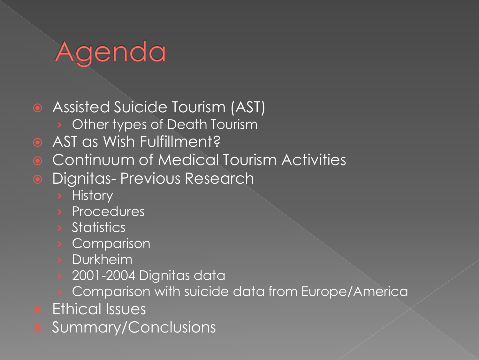## Agenda

Assisted Suicide Tourism (AST)

- Other types of Death Tourism
- **AST as Wish Fulfillment?**
- **Continuum of Medical Tourism Activities**
- **•** Dignitas- Previous Research
	- › History
	- › Procedures
	- › Statistics
	- **Comparison**
	- **Durkheim**
	- 2001-2004 Dignitas data
	- Comparison with suicide data from Europe/America
- Ethical Issues
- Summary/Conclusions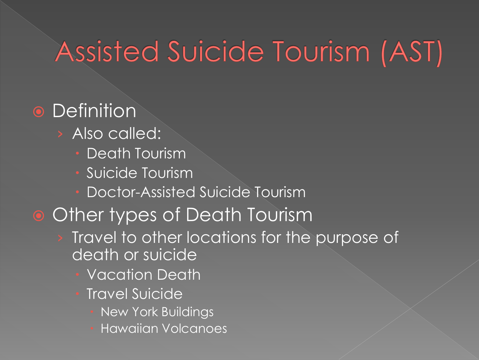### Assisted Suicide Tourism (AST)

### **•** Definition

- › Also called:
	- Death Tourism
	- **Suicide Tourism**
	- Doctor-Assisted Suicide Tourism

### Other types of Death Tourism

- › Travel to other locations for the purpose of death or suicide
	- Vacation Death
	- Travel Suicide
		- New York Buildings
		- Hawaiian Volcanoes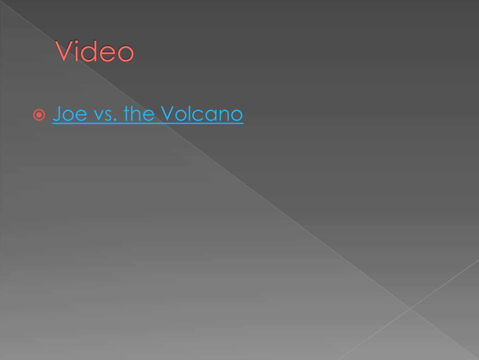

### $\circ$  [Joe vs. the Volcano](http://www.imdb.com/video/screenplay/vi798163225/)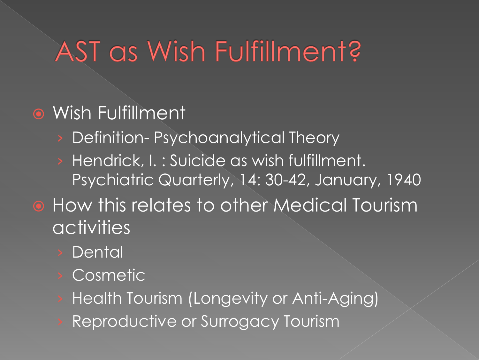### AST as Wish Fulfillment?

### Wish Fulfillment

- › Definition- Psychoanalytical Theory
- › Hendrick, I. : Suicide as wish fulfillment. Psychiatric Quarterly, 14: 30-42, January, 1940
- **How this relates to other Medical Tourism** activities
	- **Dental**
	- Cosmetic<sup>1</sup>
	- Health Tourism (Longevity or Anti-Aging)
	- Reproductive or Surrogacy Tourism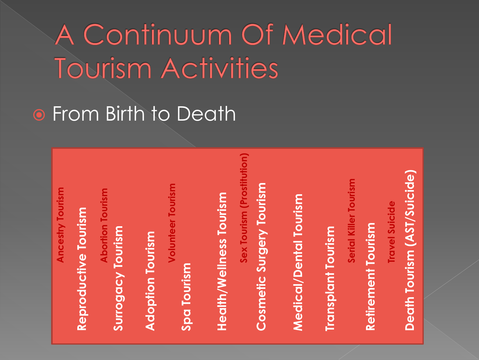A Continuum Of Medical **Tourism Activities** 

**• From Birth to Death** 

**Sex Tourism (Prostitution) Death Tourism (AST/Suicide)** Death Tourism (AST/Suicide) **Serial Killer Tourism Serial Killer Tourism** Cosmetic Surgery Tourism **Cosmetic Surgery Tourism Volunteer Tourism Ancestry Tourism Abortion Tourism<br>Surrogacy Tourism Reproductive Tourism Surrogacy Tourism Adoption Tourism Spa Tourism Health/Wellness Tourism** Medical/Dental Tourism **Medical/Dental Tourism Travel Suicide Travel SuicideRetirement Tourism Retirement Tourism Transplant Tourism Transplant Tourism**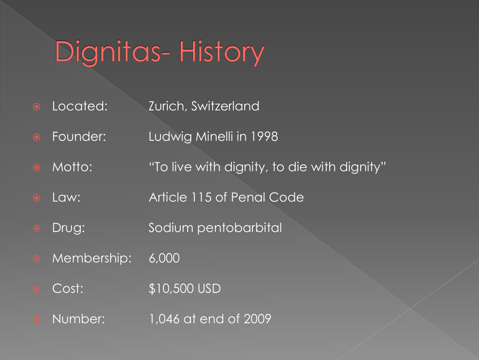## Dignitas-History

- **O** Located: **Zurich, Switzerland**
- **•** Founder: Ludwig Minelli in 1998
- Motto: "To live with dignity, to die with dignity"
- Law: Article 115 of Penal Code
- **•** Drug: Sodium pentobarbital
- Membership: 6,000
- Cost: \$10,500 USD
- Number: 1,046 at end of 2009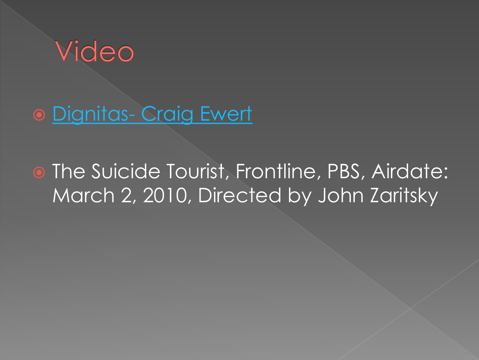

### **.** [Dignitas-](http://www.youtube.com/watch?v=pJwXNyAkM6E&feature=channel) [Craig Ewert](http://www.youtube.com/watch?v=pJwXNyAkM6E&feature=channel)

**• The Suicide Tourist, Frontline, PBS, Airdate:** March 2, 2010, Directed by John Zaritsky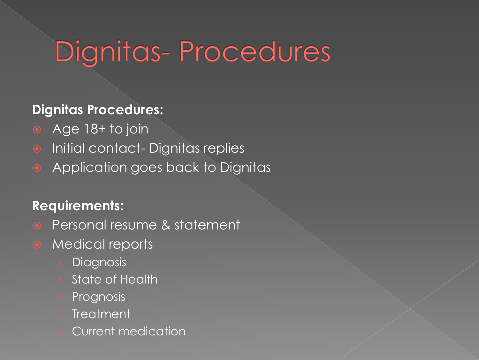## Dignitas-Procedures

#### **Dignitas Procedures:**

- Age 18+ to join
- **•** Initial contact- Dignitas replies
- Application goes back to Dignitas

#### **Requirements:**

- **•** Personal resume & statement
- Medical reports
	- **Diagnosis**
	- **State of Health**
	- **Prognosis**
	- **Treatment**
	- › Current medication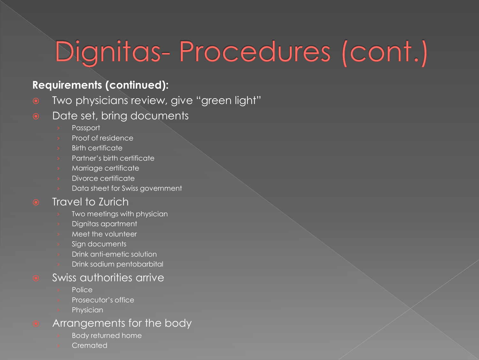# Dignitas-Procedures (cont.)

#### **Requirements (continued):**

- **•** Two physicians review, give "green light"
- Date set, bring documents
	- Passport
	- › Proof of residence
	- **Birth certificate**
	- › Partner's birth certificate
	- Marriage certificate
	- Divorce certificate
	- Data sheet for Swiss government

#### • Travel to Zurich

- Two meetings with physician
- Dignitas apartment
- Meet the volunteer
- Sign documents
- Drink anti-emetic solution
- Drink sodium pentobarbital

#### Swiss authorities arrive

- **Police**
- Prosecutor's office
- **Physician**

#### Arrangements for the body

- **Body returned home**
- **Cremated**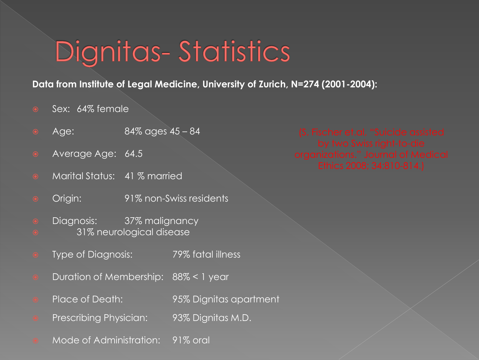### Dignitas-Statistics

#### **Data from Institute of Legal Medicine, University of Zurich, N=274 (2001-2004):**

- $\circ$  Sex: 64% female
- Age: 84% ages 45 84
- Average Age: 64.5
- Marital Status: 41 % married
- Origin: 91% non-Swiss residents
- **•** Diagnosis: 37% malignancy
- 31% neurological disease
- Type of Diagnosis: 79% fatal illness
- Duration of Membership: 88% < 1 year
- Place of Death: 95% Dignitas apartment
- Prescribing Physician: 93% Dignitas M.D.
- Mode of Administration: 91% oral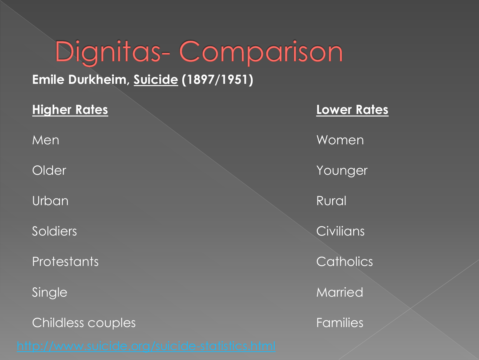## Dignitas-Comparison

#### **Emile Durkheim, Suicide (1897/1951)**

Childless couples Families

**Higher Rates Lower Rates** Men Women Women Men Women Momen Momen Momen Momen Momen Momen Momen Momen Momen Momen Momen Momen Momen Momen Older **Younger** Younger Urban Rural Rural Rural Rural Rural Rural Rural Rural Rural Rural Rural Rural Rural Rural Rural Rural Rural Rural Rural Rural Rural Rural Rural Rural Rural Rural Rural Rural Rural Rural Rural Rural Rural Rural Rural Rural Soldiers **Soldiers Civilians** Protestants **Catholics** Single Married Married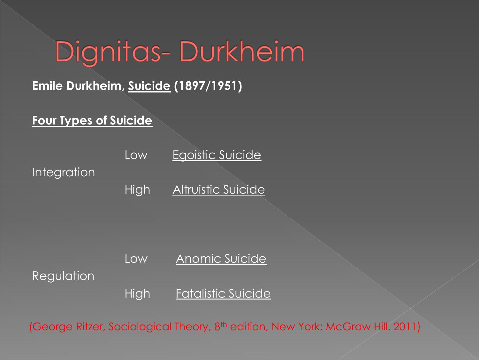### Dignitas-Durkheim

### **Emile Durkheim, Suicide (1897/1951)**

#### **Four Types of Suicide**

Low Egoistic Suicide Integration High Altruistic Suicide

Low Anomic Suicide

Regulation

High **Fatalistic Suicide** 

(George Ritzer, Sociological Theory, 8<sup>th</sup> edition, New York: McGraw Hill, 2011)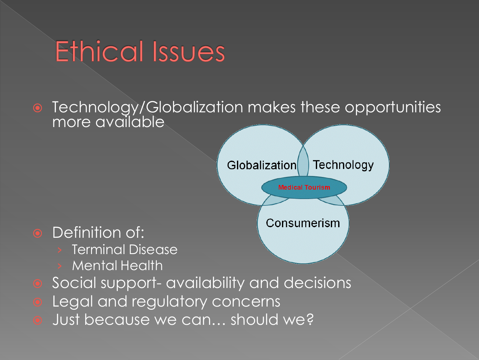### **Ethical Issues**

**•** Definition of:

**Terminal Disease** 

**Mental Health** 

 Technology/Globalization makes these opportunities more available



Just because we can… should we?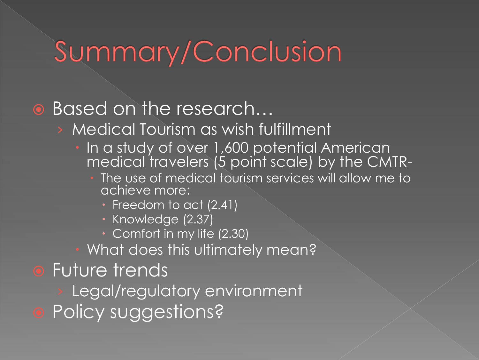### Summary/Conclusion

### Based on the research…

- › Medical Tourism as wish fulfillment
	- In a study of over 1,600 potential American medical travelers (5 point scale) by the CMTR-
		- **The use of medical tourism services will allow me to** achieve more:
			- Freedom to act (2.41)
			- · Knowledge (2.37)
			- Comfort in my life (2.30)
	- What does this ultimately mean?
- **•** Future trends
	- Legal/regulatory environment
- Policy suggestions?